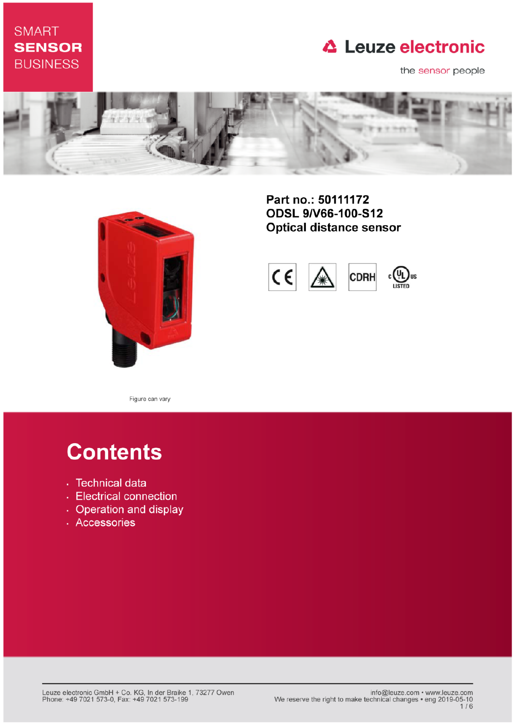# **SMART SENSOR BUSINESS**

# **△ Leuze electronic**

the sensor people





Part no.: 50111172 **ODSL 9/V66-100-S12 Optical distance sensor** 



Figure can vary

# **Contents**

- · Technical data
- Electrical connection
- Operation and display
- · Accessories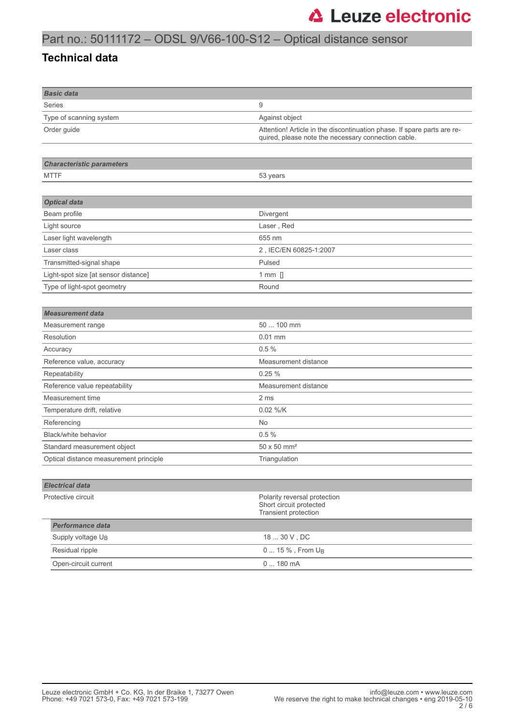# Part no.: 50111172 – ODSL 9/V66-100-S12 – Optical distance sensor

#### **Technical data**

| <b>Basic data</b>                      |                                                                                                                                |  |
|----------------------------------------|--------------------------------------------------------------------------------------------------------------------------------|--|
| Series                                 | 9                                                                                                                              |  |
| Type of scanning system                | Against object                                                                                                                 |  |
| Order guide                            | Attention! Article in the discontinuation phase. If spare parts are re-<br>quired, please note the necessary connection cable. |  |
| <b>Characteristic parameters</b>       |                                                                                                                                |  |
| <b>MTTF</b>                            | 53 years                                                                                                                       |  |
|                                        |                                                                                                                                |  |
| <b>Optical data</b>                    |                                                                                                                                |  |
| Beam profile                           | Divergent                                                                                                                      |  |
| Light source                           | Laser, Red                                                                                                                     |  |
| Laser light wavelength                 | 655 nm                                                                                                                         |  |
| Laser class                            | 2, IEC/EN 60825-1:2007                                                                                                         |  |
| Transmitted-signal shape               | Pulsed                                                                                                                         |  |
| Light-spot size [at sensor distance]   | $1$ mm $\Box$                                                                                                                  |  |
| Type of light-spot geometry            | Round                                                                                                                          |  |
|                                        |                                                                                                                                |  |
| <b>Measurement</b> data                |                                                                                                                                |  |
| Measurement range                      | 50  100 mm                                                                                                                     |  |
| Resolution                             | $0.01$ mm                                                                                                                      |  |
| Accuracy                               | 0.5%                                                                                                                           |  |
| Reference value, accuracy              | Measurement distance                                                                                                           |  |
| Repeatability                          | 0.25%                                                                                                                          |  |
| Reference value repeatability          | Measurement distance                                                                                                           |  |
| Measurement time                       | 2 ms                                                                                                                           |  |
| Temperature drift, relative            | 0.02 %/K                                                                                                                       |  |
| Referencing                            | No                                                                                                                             |  |
| Black/white behavior                   | 0.5%                                                                                                                           |  |
| Standard measurement object            | 50 x 50 mm <sup>2</sup>                                                                                                        |  |
| Optical distance measurement principle | Triangulation                                                                                                                  |  |
|                                        |                                                                                                                                |  |
| <b>Electrical data</b>                 |                                                                                                                                |  |
| Protective circuit                     | Polarity reversal protection<br>Short circuit protected<br>Transient protection                                                |  |
| <b>Performance data</b>                |                                                                                                                                |  |
| Supply voltage U <sub>B</sub>          | $1830V$ , DC                                                                                                                   |  |
| Residual ripple                        | 0  15 %, From U <sub>B</sub>                                                                                                   |  |
| Open-circuit current                   | 0  180 mA                                                                                                                      |  |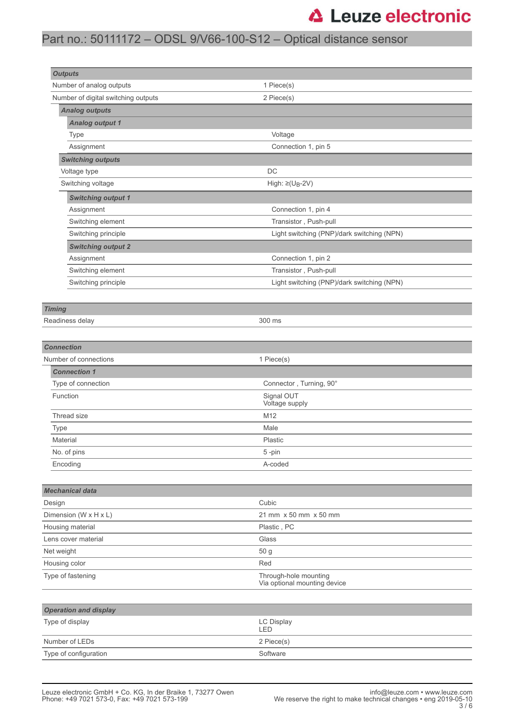# **△ Leuze electronic**

# Part no.: 50111172 – ODSL 9/V66-100-S12 – Optical distance sensor

| <b>Outputs</b>                      |                                                       |  |  |  |
|-------------------------------------|-------------------------------------------------------|--|--|--|
| Number of analog outputs            | 1 Piece(s)                                            |  |  |  |
| Number of digital switching outputs | 2 Piece(s)                                            |  |  |  |
| <b>Analog outputs</b>               |                                                       |  |  |  |
| <b>Analog output 1</b>              |                                                       |  |  |  |
| Type                                | Voltage                                               |  |  |  |
| Assignment                          | Connection 1, pin 5                                   |  |  |  |
| <b>Switching outputs</b>            |                                                       |  |  |  |
| Voltage type                        | DC                                                    |  |  |  |
| Switching voltage                   | High: $\geq$ (U <sub>B</sub> -2V)                     |  |  |  |
| <b>Switching output 1</b>           |                                                       |  |  |  |
| Assignment                          | Connection 1, pin 4                                   |  |  |  |
| Switching element                   | Transistor, Push-pull                                 |  |  |  |
| Switching principle                 | Light switching (PNP)/dark switching (NPN)            |  |  |  |
| <b>Switching output 2</b>           |                                                       |  |  |  |
| Assignment                          | Connection 1, pin 2                                   |  |  |  |
| Switching element                   | Transistor, Push-pull                                 |  |  |  |
| Switching principle                 | Light switching (PNP)/dark switching (NPN)            |  |  |  |
|                                     |                                                       |  |  |  |
| <b>Timing</b>                       |                                                       |  |  |  |
| Readiness delay                     | 300 ms                                                |  |  |  |
|                                     |                                                       |  |  |  |
| <b>Connection</b>                   |                                                       |  |  |  |
| Number of connections               | 1 Piece(s)                                            |  |  |  |
| <b>Connection 1</b>                 |                                                       |  |  |  |
| Type of connection                  | Connector, Turning, 90°                               |  |  |  |
| Function                            | Signal OUT<br>Voltage supply                          |  |  |  |
| Thread size                         | M12                                                   |  |  |  |
| Type                                | Male                                                  |  |  |  |
| Material                            | Plastic                                               |  |  |  |
| No. of pins                         | 5-pin                                                 |  |  |  |
| Encoding                            | A-coded                                               |  |  |  |
|                                     |                                                       |  |  |  |
| <b>Mechanical data</b>              |                                                       |  |  |  |
| Design                              | Cubic                                                 |  |  |  |
| Dimension (W x H x L)               | 21 mm x 50 mm x 50 mm                                 |  |  |  |
| Housing material                    | Plastic, PC                                           |  |  |  |
| Lens cover material                 | Glass                                                 |  |  |  |
| Net weight                          | 50 g                                                  |  |  |  |
| Housing color<br>Red                |                                                       |  |  |  |
| Type of fastening                   | Through-hole mounting<br>Via optional mounting device |  |  |  |
| <b>Operation and display</b>        |                                                       |  |  |  |
| Type of display                     | <b>LC Display</b><br>LED                              |  |  |  |
| Number of LEDs                      | 2 Piece(s)                                            |  |  |  |
| Type of configuration               | Software                                              |  |  |  |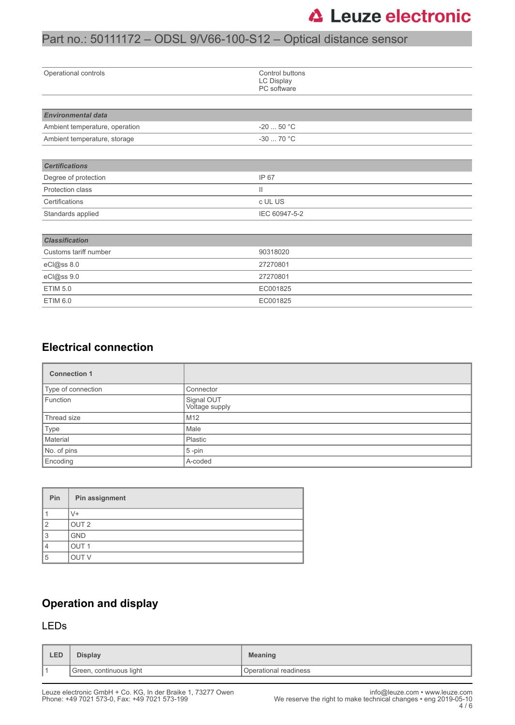# Part no.: 50111172 – ODSL 9/V66-100-S12 – Optical distance sensor

| Operational controls           | Control buttons<br>LC Display<br>PC software |  |  |
|--------------------------------|----------------------------------------------|--|--|
|                                |                                              |  |  |
| <b>Environmental data</b>      |                                              |  |  |
| Ambient temperature, operation | $-2050 °C$                                   |  |  |
| Ambient temperature, storage   | $-3070 °C$                                   |  |  |
|                                |                                              |  |  |
| <b>Certifications</b>          |                                              |  |  |
| Degree of protection           | IP 67                                        |  |  |
| Protection class               | $\mathbf{H}$                                 |  |  |
| Certifications                 | c UL US                                      |  |  |
| Standards applied              | IEC 60947-5-2                                |  |  |
|                                |                                              |  |  |
| <b>Classification</b>          |                                              |  |  |
| Customs tariff number          | 90318020                                     |  |  |
| eCl@ss 8.0                     | 27270801                                     |  |  |
| eCl@ss 9.0                     | 27270801                                     |  |  |
| <b>ETIM 5.0</b>                | EC001825                                     |  |  |
| ETIM 6.0                       | EC001825                                     |  |  |

### **Electrical connection**

| <b>Connection 1</b> |                              |
|---------------------|------------------------------|
| Type of connection  | Connector                    |
| Function            | Signal OUT<br>Voltage supply |
| Thread size         | M12                          |
| Type                | Male                         |
| Material            | Plastic                      |
| No. of pins         | $5$ -pin                     |
| Encoding            | A-coded                      |

| Pin | Pin assignment   |
|-----|------------------|
|     | $\sqrt{+}$       |
| ◠   | OUT <sub>2</sub> |
| 3   | <b>GND</b>       |
|     | OUT <sub>1</sub> |
| 5   | <b>OUT V</b>     |

## **Operation and display**

#### LEDs

| LED | Display                 | <b>Meaning</b>        |
|-----|-------------------------|-----------------------|
|     | Green, continuous light | Operational readiness |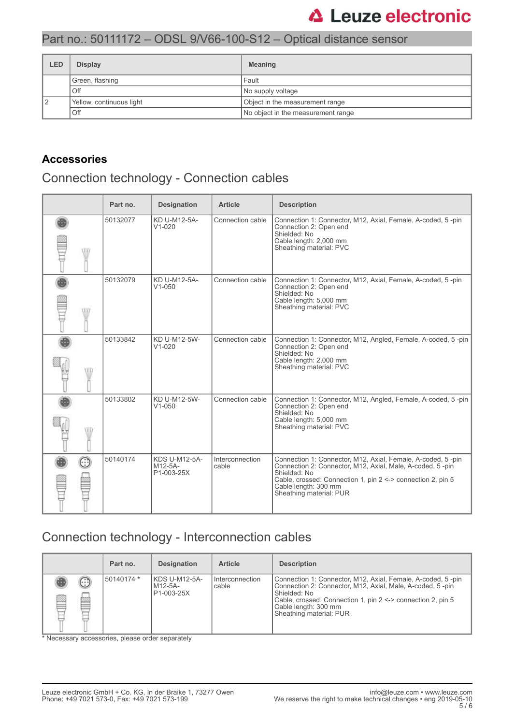# **△ Leuze electronic**

### Part no.: 50111172 – ODSL 9/V66-100-S12 – Optical distance sensor

| LED | <b>Display</b>           | <b>Meaning</b>                     |  |
|-----|--------------------------|------------------------------------|--|
|     | Green, flashing          | Fault                              |  |
|     | Off                      | No supply voltage                  |  |
|     | Yellow, continuous light | Object in the measurement range    |  |
|     | Off                      | No object in the measurement range |  |

### **Accessories**

# Connection technology - Connection cables

|      | Part no. | <b>Designation</b>                            | <b>Article</b>           | <b>Description</b>                                                                                                                                                                                                                                         |
|------|----------|-----------------------------------------------|--------------------------|------------------------------------------------------------------------------------------------------------------------------------------------------------------------------------------------------------------------------------------------------------|
| W    | 50132077 | KD U-M12-5A-<br>$V1 - 020$                    | Connection cable         | Connection 1: Connector, M12, Axial, Female, A-coded, 5-pin<br>Connection 2: Open end<br>Shielded: No<br>Cable length: 2,000 mm<br>Sheathing material: PVC                                                                                                 |
| W    | 50132079 | KD U-M12-5A-<br>$V1 - 050$                    | Connection cable         | Connection 1: Connector, M12, Axial, Female, A-coded, 5-pin<br>Connection 2: Open end<br>Shielded: No<br>Cable length: 5,000 mm<br>Sheathing material: PVC                                                                                                 |
| \ll7 | 50133842 | KD U-M12-5W-<br>$V1 - 020$                    | Connection cable         | Connection 1: Connector, M12, Angled, Female, A-coded, 5-pin<br>Connection 2: Open end<br>Shielded: No<br>Cable length: 2,000 mm<br>Sheathing material: PVC                                                                                                |
| ۱Ш   | 50133802 | KD U-M12-5W-<br>$V1 - 050$                    | Connection cable         | Connection 1: Connector, M12, Angled, Female, A-coded, 5-pin<br>Connection 2: Open end<br>Shielded: No<br>Cable length: 5,000 mm<br>Sheathing material: PVC                                                                                                |
| œ    | 50140174 | <b>KDS U-M12-5A-</b><br>M12-5A-<br>P1-003-25X | Interconnection<br>cable | Connection 1: Connector, M12, Axial, Female, A-coded, 5-pin<br>Connection 2: Connector, M12, Axial, Male, A-coded, 5-pin<br>Shielded: No<br>Cable, crossed: Connection 1, pin 2 <-> connection 2, pin 5<br>Cable length: 300 mm<br>Sheathing material: PUR |

## Connection technology - Interconnection cables

|        |        | Part no.   | <b>Designation</b>                     | <b>Article</b>             | <b>Description</b>                                                                                                                                                                                                                                         |
|--------|--------|------------|----------------------------------------|----------------------------|------------------------------------------------------------------------------------------------------------------------------------------------------------------------------------------------------------------------------------------------------------|
| ß<br>⋿ | €<br>œ | 50140174 * | KDS U-M12-5A-<br>M12-5A-<br>P1-003-25X | I Interconnection<br>cable | Connection 1: Connector, M12, Axial, Female, A-coded, 5-pin<br>Connection 2: Connector, M12, Axial, Male, A-coded, 5-pin<br>Shielded: No<br>Cable, crossed: Connection 1, pin 2 <-> connection 2, pin 5<br>Cable length: 300 mm<br>Sheathing material: PUR |

\* Necessary accessories, please order separately